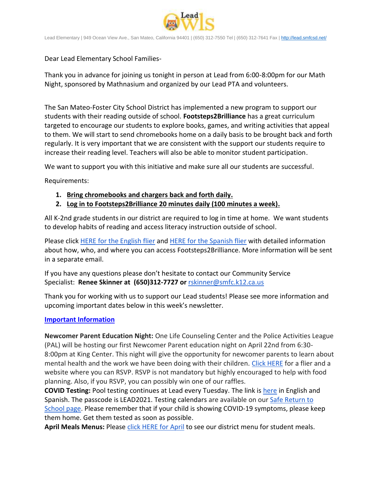

Lead Elementary | 949 Ocean View Ave., San Mateo, California 94401 | (650) 312-7550 Tel | (650) 312-7641 Fax [| http://lead.smfcsd.net/](http://lead.smfcsd.net/)

Dear Lead Elementary School Families-

Thank you in advance for joining us tonight in person at Lead from 6:00-8:00pm for our Math Night, sponsored by Mathnasium and organized by our Lead PTA and volunteers.

The San Mateo-Foster City School District has implemented a new program to support our students with their reading outside of school. **Footsteps2Brilliance** has a great curriculum targeted to encourage our students to explore books, games, and writing activities that appeal to them. We will start to send chromebooks home on a daily basis to be brought back and forth regularly. It is very important that we are consistent with the support our students require to increase their reading level. Teachers will also be able to monitor student participation.

We want to support you with this initiative and make sure all our students are successful.

Requirements:

- **1. Bring chromebooks and chargers back and forth daily.**
- **2. Log in to Footsteps2Brilliance 20 minutes daily (100 minutes a week).**

All K-2nd grade students in our district are required to log in time at home. We want students to develop habits of reading and access literacy instruction outside of school.

Please click [HERE for the English flier](https://drive.google.com/file/d/1-9c6ncQFyTcT5hQPyYNN6hDe8zHAofDS/view?usp=sharing) and [HERE for the Spanish flier](https://drive.google.com/file/d/1by3DyIDVTarVPVFTqMXW4ixummnwx4ot/view?usp=sharing) with detailed information about how, who, and where you can access Footsteps2Brilliance. More information will be sent in a separate email.

If you have any questions please don't hesitate to contact our Community Service Specialist: **Renee Skinner at (650)312-7727 or** [rskinner@smfc.k12.ca.us](mailto:rskinner@smfc.k12.ca.us)

Thank you for working with us to support our Lead students! Please see more information and upcoming important dates below in this week's newsletter.

## **Important Information**

**Newcomer Parent Education Night:** One Life Counseling Center and the Police Activities League (PAL) will be hosting our first Newcomer Parent education night on April 22nd from 6:30- 8:00pm at King Center. This night will give the opportunity for newcomer parents to learn about mental health and the work we have been doing with their children. [Click HERE](https://drive.google.com/file/d/1mlx9RF4V8cO9V9p-bSU89XQvuxcIFgK1/view?usp=sharing) for a flier and a website where you can RSVP. RSVP is not mandatory but highly encouraged to help with food planning. Also, if you RSVP, you can possibly win one of our raffles.

**COVID Testing:** Pool testing continues at Lead every Tuesday. The link is [here](https://testcenter.concentricbyginkgo.com/minor-consent/) in English and Spanish. The passcode is LEAD2021. Testing calendars are available on our [Safe Return to](http://www.smfcsd.net/en/covid-19-updates-resources/covid-19-updates.html)  [School page.](http://www.smfcsd.net/en/covid-19-updates-resources/covid-19-updates.html) Please remember that if your child is showing COVID-19 symptoms, please keep them home. Get them tested as soon as possible.

**April Meals Menus:** Please [click HERE for April](http://www.smfcsd.net/en/assets/files/Nutrition%20and%20School%20Meals/APRIL%202022%20MENUS.pdf) to see our district menu for student meals.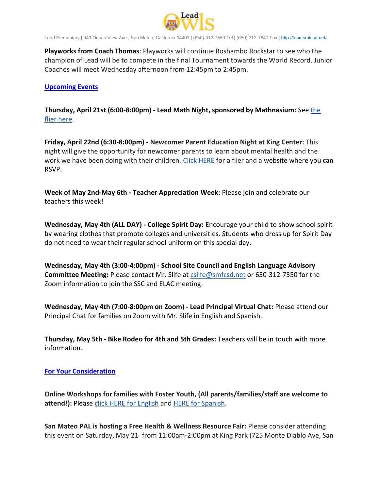

Lead Elementary | 949 Ocean View Ave., San Mateo, California 94401 | (650) 312-7550 Tel | (650) 312-7641 Fax [| http://lead.smfcsd.net/](http://lead.smfcsd.net/)

**Playworks from Coach Thomas**: Playworks will continue Roshambo Rockstar to see who the champion of Lead will be to compete in the final Tournament towards the World Record. Junior Coaches will meet Wednesday afternoon from 12:45pm to 2:45pm.

### **Upcoming Events**

**Thursday, April 21st (6:00-8:00pm) - Lead Math Night, sponsored by Mathnasium:** See [the](https://drive.google.com/file/d/1aweG-SucpFHT09TBvZ7RNtVXguGaJYha/view?usp=sharing)  [flier here.](https://drive.google.com/file/d/1aweG-SucpFHT09TBvZ7RNtVXguGaJYha/view?usp=sharing)

**Friday, April 22nd (6:30-8:00pm) - Newcomer Parent Education Night at King Center:** This night will give the opportunity for newcomer parents to learn about mental health and the work we have been doing with their children. [Click HERE](https://drive.google.com/file/d/1mlx9RF4V8cO9V9p-bSU89XQvuxcIFgK1/view?usp=sharing) for a flier and a website where you can RSVP.

**Week of May 2nd-May 6th - Teacher Appreciation Week:** Please join and celebrate our teachers this week!

**Wednesday, May 4th (ALL DAY) - College Spirit Day:** Encourage your child to show school spirit by wearing clothes that promote colleges and universities. Students who dress up for Spirit Day do not need to wear their regular school uniform on this special day.

**Wednesday, May 4th (3:00-4:00pm) - School Site Council and English Language Advisory Committee Meeting:** Please contact Mr. Slife at [cslife@smfcsd.net](mailto:cslife@smfcsd.net) or 650-312-7550 for the Zoom information to join the SSC and ELAC meeting.

**Wednesday, May 4th (7:00-8:00pm on Zoom) - Lead Principal Virtual Chat:** Please attend our Principal Chat for families on Zoom with Mr. Slife in English and Spanish.

**Thursday, May 5th - Bike Rodeo for 4th and 5th Grades:** Teachers will be in touch with more information.

#### **For Your Consideration**

**Online Workshops for families with Foster Youth, (All parents/families/staff are welcome to attend!):** Please [click HERE for English](https://drive.google.com/file/d/1mezmxHNnUUYKZnDvVn7II09Lk6TkMYQR/view?usp=sharing) and [HERE for Spanish.](https://drive.google.com/file/d/1_mIsb-wQPwAKZ2S88PAFI7pOP2dgt_zu/view?usp=sharing)

**San Mateo PAL is hosting a Free Health & Wellness Resource Fair:** Please consider attending this event on Saturday, May 21<sup> $st$ </sup> from 11:00am-2:00pm at King Park (725 Monte Diablo Ave, San